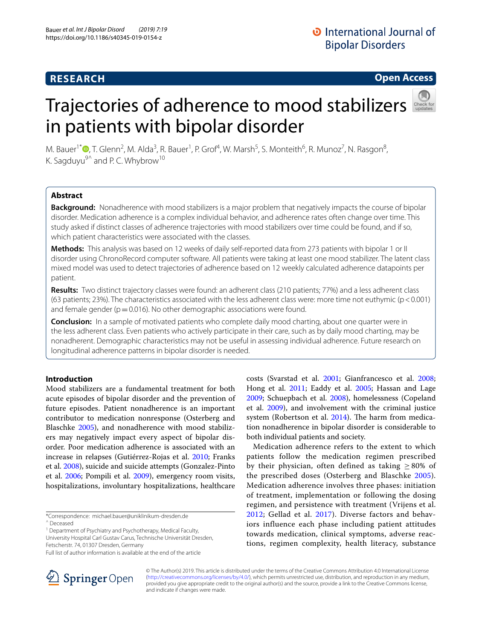# **RESEARCH**

# **Open Access**

# Trajectories of adherence to mood stabilizers in patients with bipolar disorder



M. Bauer<sup>1\*</sup><sup>®</sup>[,](http://orcid.org/0000-0002-2666-859X) T. Glenn<sup>2</sup>, M. Alda<sup>3</sup>, R. Bauer<sup>1</sup>, P. Grof<sup>4</sup>, W. Marsh<sup>5</sup>, S. Monteith<sup>6</sup>, R. Munoz<sup>7</sup>, N. Rasgon<sup>8</sup>, K. Sagduyu $9^{\circ}$  and P. C. Whybrow<sup>10</sup>

# **Abstract**

**Background:** Nonadherence with mood stabilizers is a major problem that negatively impacts the course of bipolar disorder. Medication adherence is a complex individual behavior, and adherence rates often change over time. This study asked if distinct classes of adherence trajectories with mood stabilizers over time could be found, and if so, which patient characteristics were associated with the classes.

**Methods:** This analysis was based on 12 weeks of daily self-reported data from 273 patients with bipolar 1 or II disorder using ChronoRecord computer software. All patients were taking at least one mood stabilizer. The latent class mixed model was used to detect trajectories of adherence based on 12 weekly calculated adherence datapoints per patient.

**Results:** Two distinct trajectory classes were found: an adherent class (210 patients; 77%) and a less adherent class (63 patients; 23%). The characteristics associated with the less adherent class were: more time not euthymic (p<0.001) and female gender ( $p=0.016$ ). No other demographic associations were found.

**Conclusion:** In a sample of motivated patients who complete daily mood charting, about one quarter were in the less adherent class. Even patients who actively participate in their care, such as by daily mood charting, may be nonadherent. Demographic characteristics may not be useful in assessing individual adherence. Future research on longitudinal adherence patterns in bipolar disorder is needed.

# **Introduction**

Mood stabilizers are a fundamental treatment for both acute episodes of bipolar disorder and the prevention of future episodes. Patient nonadherence is an important contributor to medication nonresponse (Osterberg and Blaschke [2005](#page-8-0)), and nonadherence with mood stabilizers may negatively impact every aspect of bipolar disorder. Poor medication adherence is associated with an increase in relapses (Gutiérrez-Rojas et al. [2010](#page-7-0); Franks et al. [2008](#page-7-1)), suicide and suicide attempts (Gonzalez-Pinto et al. [2006](#page-7-2); Pompili et al. [2009\)](#page-8-1), emergency room visits, hospitalizations, involuntary hospitalizations, healthcare

<sup>1</sup> Department of Psychiatry and Psychotherapy, Medical Faculty, University Hospital Carl Gustav Carus, Technische Universität Dresden,

Fetscherstr. 74, 01307 Dresden, Germany



Medication adherence refers to the extent to which patients follow the medication regimen prescribed by their physician, often defined as taking  $\geq 80\%$  of the prescribed doses (Osterberg and Blaschke [2005\)](#page-8-0). Medication adherence involves three phases: initiation of treatment, implementation or following the dosing regimen, and persistence with treatment (Vrijens et al. [2012](#page-8-7); Gellad et al. [2017](#page-7-6)). Diverse factors and behaviors influence each phase including patient attitudes towards medication, clinical symptoms, adverse reactions, regimen complexity, health literacy, substance



© The Author(s) 2019. This article is distributed under the terms of the Creative Commons Attribution 4.0 International License [\(http://creativecommons.org/licenses/by/4.0/\)](http://creativecommons.org/licenses/by/4.0/), which permits unrestricted use, distribution, and reproduction in any medium, provided you give appropriate credit to the original author(s) and the source, provide a link to the Creative Commons license, and indicate if changes were made.

<sup>\*</sup>Correspondence: michael.bauer@uniklinikum-dresden.de

<sup>^</sup> Deceased

Full list of author information is available at the end of the article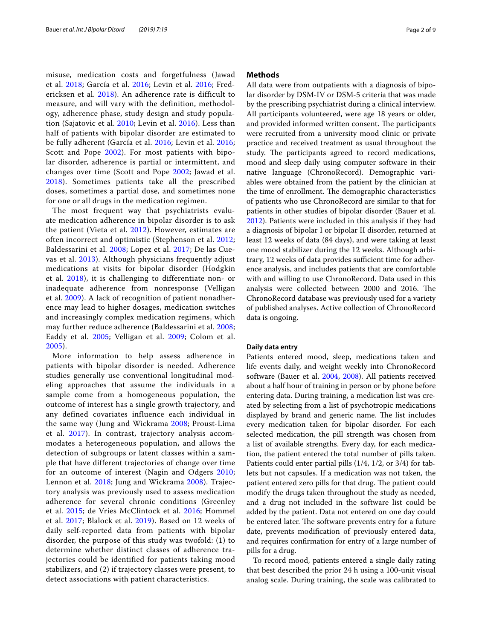misuse, medication costs and forgetfulness (Jawad et al. [2018;](#page-8-8) García et al. [2016](#page-7-7); Levin et al. [2016;](#page-8-9) Fredericksen et al. [2018](#page-7-8)). An adherence rate is difficult to measure, and will vary with the definition, methodology, adherence phase, study design and study population (Sajatovic et al. [2010](#page-8-10); Levin et al. [2016](#page-8-9)). Less than half of patients with bipolar disorder are estimated to be fully adherent (García et al. [2016;](#page-7-7) Levin et al. [2016](#page-8-9); Scott and Pope [2002](#page-8-11)). For most patients with bipolar disorder, adherence is partial or intermittent, and changes over time (Scott and Pope [2002](#page-8-11); Jawad et al. [2018](#page-8-8)). Sometimes patients take all the prescribed doses, sometimes a partial dose, and sometimes none for one or all drugs in the medication regimen.

The most frequent way that psychiatrists evaluate medication adherence in bipolar disorder is to ask the patient (Vieta et al. [2012\)](#page-8-12). However, estimates are often incorrect and optimistic (Stephenson et al. [2012](#page-8-13); Baldessarini et al. [2008;](#page-7-9) Lopez et al. [2017;](#page-8-14) De las Cuevas et al. [2013](#page-7-10)). Although physicians frequently adjust medications at visits for bipolar disorder (Hodgkin et al. [2018](#page-8-15)), it is challenging to differentiate non- or inadequate adherence from nonresponse (Velligan et al. [2009\)](#page-8-16). A lack of recognition of patient nonadherence may lead to higher dosages, medication switches and increasingly complex medication regimens, which may further reduce adherence (Baldessarini et al. [2008](#page-7-9); Eaddy et al. [2005;](#page-7-4) Velligan et al. [2009](#page-8-16); Colom et al. [2005](#page-7-11)).

More information to help assess adherence in patients with bipolar disorder is needed. Adherence studies generally use conventional longitudinal modeling approaches that assume the individuals in a sample come from a homogeneous population, the outcome of interest has a single growth trajectory, and any defined covariates influence each individual in the same way (Jung and Wickrama [2008;](#page-8-17) Proust-Lima et al. [2017\)](#page-8-18). In contrast, trajectory analysis accommodates a heterogeneous population, and allows the detection of subgroups or latent classes within a sample that have different trajectories of change over time for an outcome of interest (Nagin and Odgers [2010](#page-8-19); Lennon et al. [2018](#page-8-20); Jung and Wickrama [2008](#page-8-17)). Trajectory analysis was previously used to assess medication adherence for several chronic conditions (Greenley et al. [2015](#page-7-12); de Vries McClintock et al. [2016;](#page-7-13) Hommel et al. [2017;](#page-8-21) Blalock et al. [2019](#page-7-14)). Based on 12 weeks of daily self-reported data from patients with bipolar disorder, the purpose of this study was twofold: (1) to determine whether distinct classes of adherence trajectories could be identified for patients taking mood stabilizers, and (2) if trajectory classes were present, to detect associations with patient characteristics.

# **Methods**

All data were from outpatients with a diagnosis of bipolar disorder by DSM-IV or DSM-5 criteria that was made by the prescribing psychiatrist during a clinical interview. All participants volunteered, were age 18 years or older, and provided informed written consent. The participants were recruited from a university mood clinic or private practice and received treatment as usual throughout the study. The participants agreed to record medications, mood and sleep daily using computer software in their native language (ChronoRecord). Demographic variables were obtained from the patient by the clinician at the time of enrollment. The demographic characteristics of patients who use ChronoRecord are similar to that for patients in other studies of bipolar disorder (Bauer et al. [2012](#page-7-15)). Patients were included in this analysis if they had a diagnosis of bipolar I or bipolar II disorder, returned at least 12 weeks of data (84 days), and were taking at least one mood stabilizer during the 12 weeks. Although arbitrary, 12 weeks of data provides sufficient time for adherence analysis, and includes patients that are comfortable with and willing to use ChronoRecord. Data used in this analysis were collected between 2000 and 2016. The ChronoRecord database was previously used for a variety of published analyses. Active collection of ChronoRecord data is ongoing.

## **Daily data entry**

Patients entered mood, sleep, medications taken and life events daily, and weight weekly into ChronoRecord software (Bauer et al. [2004,](#page-7-16) [2008\)](#page-7-17). All patients received about a half hour of training in person or by phone before entering data. During training, a medication list was created by selecting from a list of psychotropic medications displayed by brand and generic name. The list includes every medication taken for bipolar disorder. For each selected medication, the pill strength was chosen from a list of available strengths. Every day, for each medication, the patient entered the total number of pills taken. Patients could enter partial pills (1/4, 1/2, or 3/4) for tablets but not capsules. If a medication was not taken, the patient entered zero pills for that drug. The patient could modify the drugs taken throughout the study as needed, and a drug not included in the software list could be added by the patient. Data not entered on one day could be entered later. The software prevents entry for a future date, prevents modifcation of previously entered data, and requires confrmation for entry of a large number of pills for a drug.

To record mood, patients entered a single daily rating that best described the prior 24 h using a 100-unit visual analog scale. During training, the scale was calibrated to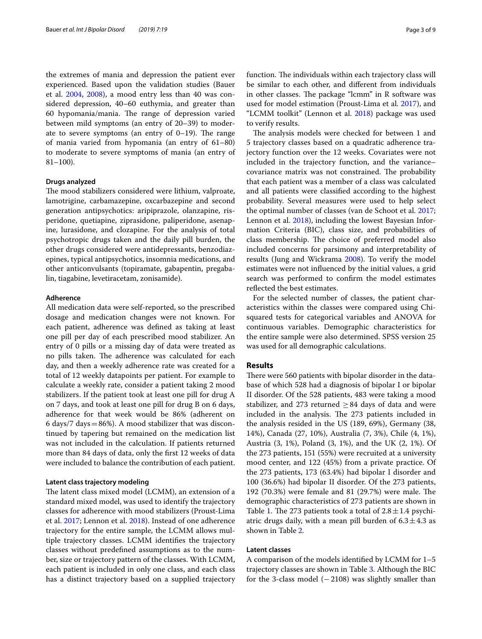the extremes of mania and depression the patient ever experienced. Based upon the validation studies (Bauer et al. [2004](#page-7-16), [2008\)](#page-7-17), a mood entry less than 40 was considered depression, 40–60 euthymia, and greater than 60 hypomania/mania. The range of depression varied between mild symptoms (an entry of 20–39) to moderate to severe symptoms (an entry of  $0-19$ ). The range of mania varied from hypomania (an entry of 61–80) to moderate to severe symptoms of mania (an entry of  $81-100$ ).

#### **Drugs analyzed**

The mood stabilizers considered were lithium, valproate, lamotrigine, carbamazepine, oxcarbazepine and second generation antipsychotics: aripiprazole, olanzapine, risperidone, quetiapine, ziprasidone, paliperidone, asenapine, lurasidone, and clozapine. For the analysis of total psychotropic drugs taken and the daily pill burden, the other drugs considered were antidepressants, benzodiazepines, typical antipsychotics, insomnia medications, and other anticonvulsants (topiramate, gabapentin, pregabalin, tiagabine, levetiracetam, zonisamide).

#### **Adherence**

All medication data were self-reported, so the prescribed dosage and medication changes were not known. For each patient, adherence was defned as taking at least one pill per day of each prescribed mood stabilizer. An entry of 0 pills or a missing day of data were treated as no pills taken. The adherence was calculated for each day, and then a weekly adherence rate was created for a total of 12 weekly datapoints per patient. For example to calculate a weekly rate, consider a patient taking 2 mood stabilizers. If the patient took at least one pill for drug A on 7 days, and took at least one pill for drug B on 6 days, adherence for that week would be 86% (adherent on 6 days/7 days  $= 86\%$ ). A mood stabilizer that was discontinued by tapering but remained on the medication list was not included in the calculation. If patients returned more than 84 days of data, only the frst 12 weeks of data were included to balance the contribution of each patient.

## **Latent class trajectory modeling**

The latent class mixed model (LCMM), an extension of a standard mixed model, was used to identify the trajectory classes for adherence with mood stabilizers (Proust-Lima et al. [2017;](#page-8-18) Lennon et al. [2018\)](#page-8-20). Instead of one adherence trajectory for the entire sample, the LCMM allows multiple trajectory classes. LCMM identifes the trajectory classes without predefned assumptions as to the number, size or trajectory pattern of the classes. With LCMM, each patient is included in only one class, and each class has a distinct trajectory based on a supplied trajectory function. The individuals within each trajectory class will be similar to each other, and diferent from individuals in other classes. The package "lcmm" in  $R$  software was used for model estimation (Proust-Lima et al. [2017](#page-8-18)), and "LCMM toolkit" (Lennon et al. [2018\)](#page-8-20) package was used to verify results.

The analysis models were checked for between 1 and 5 trajectory classes based on a quadratic adherence trajectory function over the 12 weeks. Covariates were not included in the trajectory function, and the variance– covariance matrix was not constrained. The probability that each patient was a member of a class was calculated and all patients were classifed according to the highest probability. Several measures were used to help select the optimal number of classes (van de Schoot et al. [2017](#page-8-22); Lennon et al. [2018\)](#page-8-20), including the lowest Bayesian Information Criteria (BIC), class size, and probabilities of class membership. The choice of preferred model also included concerns for parsimony and interpretability of results (Jung and Wickrama [2008\)](#page-8-17). To verify the model estimates were not infuenced by the initial values, a grid search was performed to confrm the model estimates reflected the best estimates.

For the selected number of classes, the patient characteristics within the classes were compared using Chisquared tests for categorical variables and ANOVA for continuous variables. Demographic characteristics for the entire sample were also determined. SPSS version 25 was used for all demographic calculations.

#### **Results**

There were 560 patients with bipolar disorder in the database of which 528 had a diagnosis of bipolar I or bipolar II disorder. Of the 528 patients, 483 were taking a mood stabilizer, and 273 returned  $\geq$  84 days of data and were included in the analysis. The 273 patients included in the analysis resided in the US (189, 69%), Germany (38, 14%), Canada (27, 10%), Australia (7, 3%), Chile (4, 1%), Austria (3, 1%), Poland (3, 1%), and the UK (2, 1%). Of the 273 patients, 151 (55%) were recruited at a university mood center, and 122 (45%) from a private practice. Of the 273 patients, 173 (63.4%) had bipolar I disorder and 100 (36.6%) had bipolar II disorder. Of the 273 patients, 192 (70.3%) were female and 81 (29.7%) were male. The demographic characteristics of 273 patients are shown in Table [1.](#page-3-0) The 273 patients took a total of  $2.8 \pm 1.4$  psychiatric drugs daily, with a mean pill burden of  $6.3 \pm 4.3$  as shown in Table [2.](#page-3-1)

# **Latent classes**

A comparison of the models identifed by LCMM for 1–5 trajectory classes are shown in Table [3](#page-4-0). Although the BIC for the 3-class model  $(-2108)$  was slightly smaller than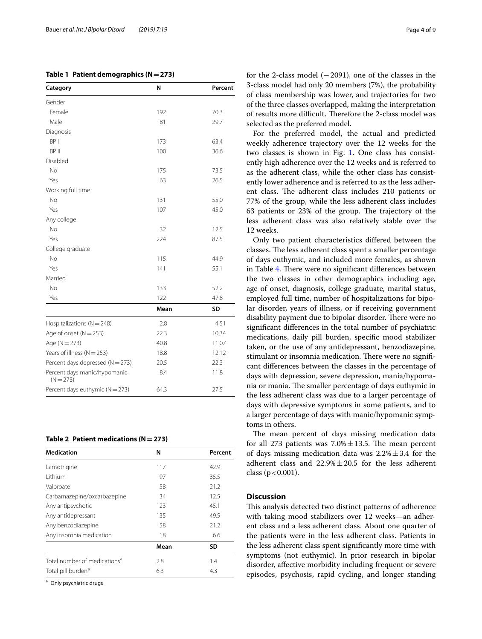# <span id="page-3-0"></span>**Table 1 Patient demographics (N=273)**

| Category                                    | N    | Percent |  |  |
|---------------------------------------------|------|---------|--|--|
| Gender                                      |      |         |  |  |
| Female                                      | 192  | 70.3    |  |  |
| Male                                        | 81   | 29.7    |  |  |
| Diagnosis                                   |      |         |  |  |
| BP <sub>I</sub>                             | 173  | 63.4    |  |  |
| BP II                                       | 100  | 36.6    |  |  |
| Disabled                                    |      |         |  |  |
| <b>No</b>                                   | 175  | 73.5    |  |  |
| Yes                                         | 63   | 26.5    |  |  |
| Working full time                           |      |         |  |  |
| No                                          | 131  | 55.0    |  |  |
| Yes                                         | 107  | 45.0    |  |  |
| Any college                                 |      |         |  |  |
| <b>No</b>                                   | 32   | 12.5    |  |  |
| Yes                                         | 224  | 87.5    |  |  |
| College graduate                            |      |         |  |  |
| No                                          | 115  | 44.9    |  |  |
| Yes                                         | 141  | 55.1    |  |  |
| Married                                     |      |         |  |  |
| <b>No</b>                                   | 133  | 52.2    |  |  |
| Yes                                         | 122  | 47.8    |  |  |
|                                             | Mean | SD      |  |  |
| Hospitalizations ( $N = 248$ )              | 2.8  | 4.51    |  |  |
| Age of onset $(N = 253)$                    | 22.3 | 10.34   |  |  |
| Age ( $N = 273$ )                           | 40.8 | 11.07   |  |  |
| Years of illness ( $N = 253$ )              | 18.8 | 12.12   |  |  |
| Percent days depressed ( $N = 273$ )        | 20.5 | 22.3    |  |  |
| Percent days manic/hypomanic<br>$(N = 273)$ | 8.4  | 11.8    |  |  |
| Percent days euthymic ( $N = 273$ )         | 64.3 | 27.5    |  |  |

#### <span id="page-3-1"></span>**Table 2 Patient medications (N=273)**

| <b>Medication</b>                        | N    | Percent   |
|------------------------------------------|------|-----------|
| Lamotrigine                              | 117  | 42.9      |
| <b>Lithium</b>                           | 97   | 35.5      |
| Valproate                                | 58   | 21.2      |
| Carbamazepine/oxcarbazepine              | 34   | 12.5      |
| Any antipsychotic                        | 123  | 45.1      |
| Any antidepressant                       | 135  | 49.5      |
| Any benzodiazepine                       | 58   | 21.2      |
| Any insomnia medication                  | 18   | 6.6       |
|                                          | Mean | <b>SD</b> |
| Total number of medications <sup>a</sup> | 2.8  | 1.4       |
| Total pill burden <sup>a</sup>           | 6.3  | 4.3       |

<sup>a</sup> Only psychiatric drugs

for the 2-class model  $(-2091)$ , one of the classes in the 3-class model had only 20 members (7%), the probability of class membership was lower, and trajectories for two of the three classes overlapped, making the interpretation of results more difficult. Therefore the 2-class model was selected as the preferred model.

For the preferred model, the actual and predicted weekly adherence trajectory over the 12 weeks for the two classes is shown in Fig. [1.](#page-5-0) One class has consistently high adherence over the 12 weeks and is referred to as the adherent class, while the other class has consistently lower adherence and is referred to as the less adherent class. The adherent class includes 210 patients or 77% of the group, while the less adherent class includes 63 patients or 23% of the group. The trajectory of the less adherent class was also relatively stable over the 12 weeks.

Only two patient characteristics difered between the classes. The less adherent class spent a smaller percentage of days euthymic, and included more females, as shown in Table [4](#page-6-0). There were no significant differences between the two classes in other demographics including age, age of onset, diagnosis, college graduate, marital status, employed full time, number of hospitalizations for bipolar disorder, years of illness, or if receiving government disability payment due to bipolar disorder. There were no signifcant diferences in the total number of psychiatric medications, daily pill burden, specifc mood stabilizer taken, or the use of any antidepressant, benzodiazepine, stimulant or insomnia medication. There were no significant diferences between the classes in the percentage of days with depression, severe depression, mania/hypomania or mania. The smaller percentage of days euthymic in the less adherent class was due to a larger percentage of days with depressive symptoms in some patients, and to a larger percentage of days with manic/hypomanic symptoms in others.

The mean percent of days missing medication data for all 273 patients was  $7.0\% \pm 13.5$ . The mean percent of days missing medication data was  $2.2\% \pm 3.4$  for the adherent class and  $22.9\% \pm 20.5$  for the less adherent class ( $p < 0.001$ ).

# **Discussion**

This analysis detected two distinct patterns of adherence with taking mood stabilizers over 12 weeks—an adherent class and a less adherent class. About one quarter of the patients were in the less adherent class. Patients in the less adherent class spent signifcantly more time with symptoms (not euthymic). In prior research in bipolar disorder, afective morbidity including frequent or severe episodes, psychosis, rapid cycling, and longer standing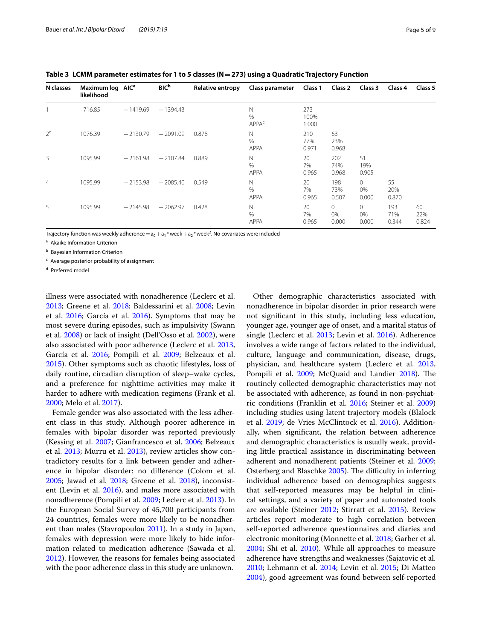| N classes      | Maximum log AIC <sup>a</sup><br>likelihood |            | <b>BIC</b> <sup>b</sup> | Relative entropy | Class parameter                         | Class 1              | Class 2                 | Class 3                    | Class 4             | Class 5            |
|----------------|--------------------------------------------|------------|-------------------------|------------------|-----------------------------------------|----------------------|-------------------------|----------------------------|---------------------|--------------------|
|                | 716.85                                     | $-1419.69$ | $-1394.43$              |                  | N<br>$\frac{0}{0}$<br>APPA <sup>c</sup> | 273<br>100%<br>1.000 |                         |                            |                     |                    |
| 2 <sup>d</sup> | 1076.39                                    | $-2130.79$ | $-2091.09$              | 0.878            | N<br>$\frac{0}{0}$<br>APPA              | 210<br>77%<br>0.971  | 63<br>23%<br>0.968      |                            |                     |                    |
| 3              | 1095.99                                    | $-2161.98$ | $-2107.84$              | 0.889            | N<br>$\frac{0}{0}$<br><b>APPA</b>       | 20<br>7%<br>0.965    | 202<br>74%<br>0.968     | 51<br>19%<br>0.905         |                     |                    |
| $\overline{4}$ | 1095.99                                    | $-2153.98$ | $-2085.40$              | 0.549            | N<br>$\frac{0}{0}$<br><b>APPA</b>       | 20<br>7%<br>0.965    | 198<br>73%<br>0.507     | $\circ$<br>0%<br>0.000     | 55<br>20%<br>0.870  |                    |
| 5              | 1095.99                                    | $-2145.98$ | $-2062.97$              | 0.428            | N<br>%<br><b>APPA</b>                   | 20<br>7%<br>0.965    | $\Omega$<br>0%<br>0.000 | $\mathbf 0$<br>0%<br>0.000 | 193<br>71%<br>0.344 | 60<br>22%<br>0.824 |

<span id="page-4-0"></span>**Table 3 LCMM parameter estimates for 1 to 5 classes (N=273) using a Quadratic Trajectory Function**

Trajectory function was weekly adherence $={\sf a}_0+{\sf a}_1$  \* week $+{\sf a}_2$  \* week $^2$ . No covariates were included

<sup>a</sup> Akaike Information Criterion

**b** Bayesian Information Criterion

<sup>c</sup> Average posterior probability of assignment

<sup>d</sup> Preferred model

illness were associated with nonadherence (Leclerc et al. [2013](#page-8-23); Greene et al. [2018](#page-7-18); Baldessarini et al. [2008;](#page-7-9) Levin et al. [2016](#page-8-9); García et al. [2016](#page-7-7)). Symptoms that may be most severe during episodes, such as impulsivity (Swann et al. [2008\)](#page-8-24) or lack of insight (Dell'Osso et al. [2002\)](#page-7-19), were also associated with poor adherence (Leclerc et al. [2013](#page-8-23), García et al. [2016;](#page-7-7) Pompili et al. [2009;](#page-8-1) Belzeaux et al. [2015](#page-7-20)). Other symptoms such as chaotic lifestyles, loss of daily routine, circadian disruption of sleep–wake cycles, and a preference for nighttime activities may make it harder to adhere with medication regimens (Frank et al. [2000](#page-7-21); Melo et al. [2017\)](#page-8-25).

Female gender was also associated with the less adherent class in this study. Although poorer adherence in females with bipolar disorder was reported previously (Kessing et al. [2007;](#page-8-26) Gianfrancesco et al. [2006](#page-7-22); Belzeaux et al. [2013](#page-7-23); Murru et al. [2013](#page-8-27)), review articles show contradictory results for a link between gender and adherence in bipolar disorder: no diference (Colom et al. [2005](#page-7-11); Jawad et al. [2018;](#page-8-8) Greene et al. [2018](#page-7-18)), inconsistent (Levin et al. [2016\)](#page-8-9), and males more associated with nonadherence (Pompili et al. [2009;](#page-8-1) Leclerc et al. [2013](#page-8-23)). In the European Social Survey of 45,700 participants from 24 countries, females were more likely to be nonadherent than males (Stavropoulou [2011\)](#page-8-28). In a study in Japan, females with depression were more likely to hide information related to medication adherence (Sawada et al. [2012](#page-8-29)). However, the reasons for females being associated with the poor adherence class in this study are unknown.

Other demographic characteristics associated with nonadherence in bipolar disorder in prior research were not signifcant in this study, including less education, younger age, younger age of onset, and a marital status of single (Leclerc et al. [2013;](#page-8-23) Levin et al. [2016\)](#page-8-9). Adherence involves a wide range of factors related to the individual, culture, language and communication, disease, drugs, physician, and healthcare system (Leclerc et al. [2013](#page-8-23), Pompili et al. [2009;](#page-8-1) McQuaid and Landier [2018](#page-8-30)). The routinely collected demographic characteristics may not be associated with adherence, as found in non-psychiatric conditions (Franklin et al. [2016](#page-7-24); Steiner et al. [2009](#page-8-31)) including studies using latent trajectory models (Blalock et al. [2019;](#page-7-14) de Vries McClintock et al. [2016](#page-7-13)). Additionally, when signifcant, the relation between adherence and demographic characteristics is usually weak, providing little practical assistance in discriminating between adherent and nonadherent patients (Steiner et al. [2009](#page-8-31); Osterberg and Blaschke [2005\)](#page-8-0). The difficulty in inferring individual adherence based on demographics suggests that self-reported measures may be helpful in clinical settings, and a variety of paper and automated tools are available (Steiner [2012](#page-8-32); Stirratt et al. [2015\)](#page-8-33). Review articles report moderate to high correlation between self-reported adherence questionnaires and diaries and electronic monitoring (Monnette et al. [2018](#page-8-34); Garber et al. [2004](#page-7-25); Shi et al. [2010\)](#page-8-35). While all approaches to measure adherence have strengths and weaknesses (Sajatovic et al. [2010](#page-8-10); Lehmann et al. [2014](#page-8-36); Levin et al. [2015](#page-8-37); Di Matteo [2004](#page-7-26)), good agreement was found between self-reported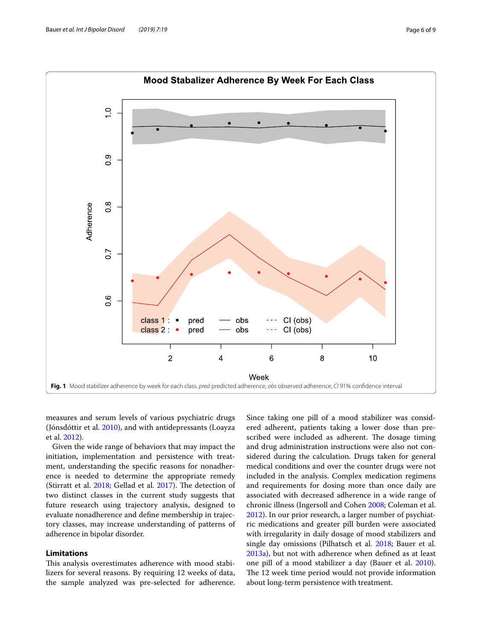

<span id="page-5-0"></span>measures and serum levels of various psychiatric drugs (Jónsdóttir et al. [2010\)](#page-8-38), and with antidepressants (Loayza et al. [2012\)](#page-8-39).

Given the wide range of behaviors that may impact the initiation, implementation and persistence with treatment, understanding the specifc reasons for nonadherence is needed to determine the appropriate remedy (Stirratt et al.  $2018$ ; Gellad et al.  $2017$ ). The detection of two distinct classes in the current study suggests that future research using trajectory analysis, designed to evaluate nonadherence and defne membership in trajectory classes, may increase understanding of patterns of adherence in bipolar disorder.

# **Limitations**

This analysis overestimates adherence with mood stabilizers for several reasons. By requiring 12 weeks of data, the sample analyzed was pre-selected for adherence. Since taking one pill of a mood stabilizer was considered adherent, patients taking a lower dose than prescribed were included as adherent. The dosage timing and drug administration instructions were also not considered during the calculation. Drugs taken for general medical conditions and over the counter drugs were not included in the analysis. Complex medication regimens and requirements for dosing more than once daily are associated with decreased adherence in a wide range of chronic illness (Ingersoll and Cohen [2008;](#page-8-41) Coleman et al. [2012](#page-7-27)). In our prior research, a larger number of psychiatric medications and greater pill burden were associated with irregularity in daily dosage of mood stabilizers and single day omissions (Pilhatsch et al. [2018;](#page-8-42) Bauer et al. [2013a\)](#page-7-28), but not with adherence when defned as at least one pill of a mood stabilizer a day (Bauer et al. [2010](#page-7-29)). The 12 week time period would not provide information about long-term persistence with treatment.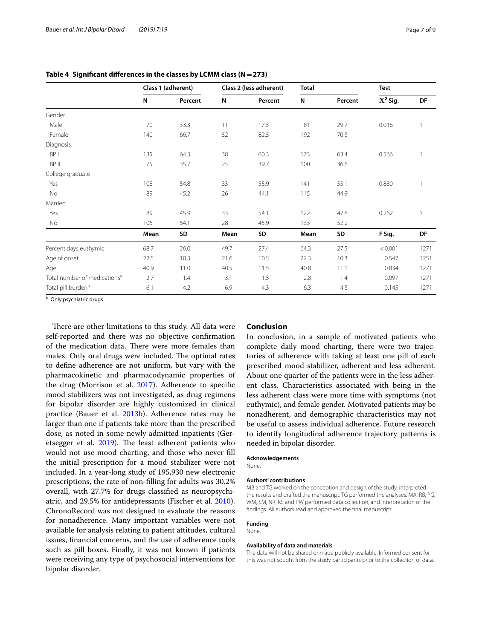|                                          | Class 1 (adherent) |         | Class 2 (less adherent) |         | <b>Total</b> |         | <b>Test</b> |              |
|------------------------------------------|--------------------|---------|-------------------------|---------|--------------|---------|-------------|--------------|
|                                          | N                  | Percent | N                       | Percent | N            | Percent | $X^2$ Sig.  | DF           |
| Gender                                   |                    |         |                         |         |              |         |             |              |
| Male                                     | 70                 | 33.3    | 11                      | 17.5    | 81           | 29.7    | 0.016       | $\mathbf{1}$ |
| Female                                   | 140                | 66.7    | 52                      | 82.5    | 192          | 70.3    |             |              |
| Diagnosis                                |                    |         |                         |         |              |         |             |              |
| BP <sub>I</sub>                          | 135                | 64.3    | 38                      | 60.3    | 173          | 63.4    | 0.566       |              |
| BP II                                    | 75                 | 35.7    | 25                      | 39.7    | 100          | 36.6    |             |              |
| College graduate                         |                    |         |                         |         |              |         |             |              |
| Yes                                      | 108                | 54.8    | 33                      | 55.9    | 141          | 55.1    | 0.880       |              |
| No                                       | 89                 | 45.2    | 26                      | 44.1    | 115          | 44.9    |             |              |
| Married                                  |                    |         |                         |         |              |         |             |              |
| Yes                                      | 89                 | 45.9    | 33                      | 54.1    | 122          | 47.8    | 0.262       | $\mathbf{1}$ |
| <b>No</b>                                | 105                | 54.1    | 28                      | 45.9    | 133          | 52.2    |             |              |
|                                          | Mean               | SD      | Mean                    | SD      | Mean         | SD      | F Sig.      | DF           |
| Percent days euthymic                    | 68.7               | 26.0    | 49.7                    | 27.4    | 64.3         | 27.5    | < 0.001     | 1271         |
| Age of onset                             | 22.5               | 10.3    | 21.6                    | 10.5    | 22.3         | 10.3    | 0.547       | 1251         |
| Age                                      | 40.9               | 11.0    | 40.5                    | 11.5    | 40.8         | 11.1    | 0.834       | 1271         |
| Total number of medications <sup>a</sup> | 2.7                | 1.4     | 3.1                     | 1.5     | 2.8          | 1.4     | 0.097       | 1271         |
| Total pill burden <sup>a</sup>           | 6.1                | 4.2     | 6.9                     | 4.3     | 6.3          | 4.3     | 0.145       | 1271         |

<span id="page-6-0"></span>**Table 4 Signifcant diferences in the classes by LCMM class (N=273)**

<sup>a</sup> Only psychiatric drugs

There are other limitations to this study. All data were self-reported and there was no objective confrmation of the medication data. There were more females than males. Only oral drugs were included. The optimal rates to defne adherence are not uniform, but vary with the pharmacokinetic and pharmacodynamic properties of the drug (Morrison et al. [2017\)](#page-8-43). Adherence to specifc mood stabilizers was not investigated, as drug regimens for bipolar disorder are highly customized in clinical practice (Bauer et al. [2013b](#page-7-30)). Adherence rates may be larger than one if patients take more than the prescribed dose, as noted in some newly admitted inpatients (Ger-etsegger et al. [2019](#page-7-31)). The least adherent patients who would not use mood charting, and those who never fll the initial prescription for a mood stabilizer were not included. In a year-long study of 195,930 new electronic prescriptions, the rate of non-flling for adults was 30.2% overall, with 27.7% for drugs classifed as neuropsychiatric, and 29.5% for antidepressants (Fischer et al. [2010](#page-7-32)). ChronoRecord was not designed to evaluate the reasons for nonadherence. Many important variables were not available for analysis relating to patient attitudes, cultural issues, fnancial concerns, and the use of adherence tools such as pill boxes. Finally, it was not known if patients were receiving any type of psychosocial interventions for bipolar disorder.

## **Conclusion**

In conclusion, in a sample of motivated patients who complete daily mood charting, there were two trajectories of adherence with taking at least one pill of each prescribed mood stabilizer, adherent and less adherent. About one quarter of the patients were in the less adherent class. Characteristics associated with being in the less adherent class were more time with symptoms (not euthymic), and female gender. Motivated patients may be nonadherent, and demographic characteristics may not be useful to assess individual adherence. Future research to identify longitudinal adherence trajectory patterns is needed in bipolar disorder.

#### **Acknowledgements**

None.

#### **Authors' contributions**

MB and TG worked on the conception and design of the study, interpreted the results and drafted the manuscript. TG performed the analyses. MA, RB, PG, WM, SM, NR, KS and PW performed data collection, and interpretation of the fndings. All authors read and approved the fnal manuscript.

#### **Funding** None.

# **Availability of data and materials**

The data will not be shared or made publicly available. Informed consent for this was not sought from the study participants prior to the collection of data.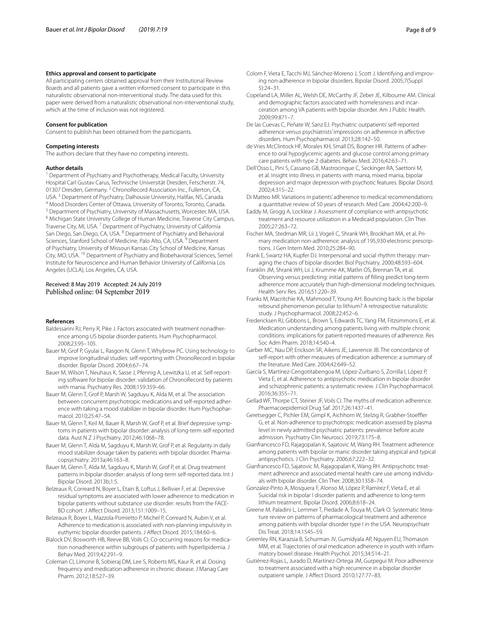#### **Ethics approval and consent to participate**

All participating centers obtained approval from their Institutional Review Boards and all patients gave a written informed consent to participate in this naturalistic observational non-interventional study. The data used for this paper were derived from a naturalistic observational non-interventional study, which at the time of inclusion was not registered.

#### **Consent for publication**

Consent to publish has been obtained from the participants.

#### **Competing interests**

The authors declare that they have no competing interests.

#### **Author details**

<sup>1</sup> Department of Psychiatry and Psychotherapy, Medical Faculty, University Hospital Carl Gustav Carus, Technische Universität Dresden, Fetscherstr. 74, 01307 Dresden, Germany. <sup>2</sup> ChronoRecord Association Inc., Fullerton, CA, USA.<sup>3</sup> Department of Psychiatry, Dalhousie University, Halifax, NS, Canada.<br><sup>4</sup> Mood Disorders Center of Ottawa, University of Toronto, Toronto, Canada.<br><sup>5</sup> Department of Psychiatry, University of Massachusetts, Worcester Traverse City, MI, USA.<sup>7</sup> Department of Psychiatry, University of California San Diego, San Diego, CA, USA. 8 Department of Psychiatry and Behavioral Sciences, Stanford School of Medicine, Palo Alto, CA, USA.<sup>9</sup> Department of Psychiatry, University of Missouri Kansas City School of Medicine, Kansas City, MO, USA. 10 Department of Psychiatry and Biobehavioral Sciences, Semel Institute for Neuroscience and Human Behavior University of California Los Angeles (UCLA), Los Angeles, CA, USA.

#### Received: 8 May 2019 Accepted: 24 July 2019 Published online: 04 September 2019

#### **References**

- <span id="page-7-9"></span>Baldessarini RJ, Perry R, Pike J. Factors associated with treatment nonadherence among US bipolar disorder patients. Hum Psychopharmacol. 2008;23:95–105.
- <span id="page-7-16"></span>Bauer M, Grof P, Gyulai L, Rasgon N, Glenn T, Whybrow PC. Using technology to improve longitudinal studies: self-reporting with ChronoRecord in bipolar disorder. Bipolar Disord. 2004;6:67–74.
- <span id="page-7-17"></span>Bauer M, Wilson T, Neuhaus K, Sasse J, Pfennig A, Lewitzka U, et al. Self-reporting software for bipolar disorder: validation of ChronoRecord by patients with mania. Psychiatry Res. 2008;159:359–66.
- <span id="page-7-29"></span>Bauer M, Glenn T, Grof P, Marsh W, Sagduyu K, Alda M, et al. The association between concurrent psychotropic medications and self-reported adherence with taking a mood stabilizer in bipolar disorder. Hum Psychopharmacol. 2010;25:47–54.
- <span id="page-7-15"></span>Bauer M, Glenn T, Keil M, Bauer R, Marsh W, Grof P, et al. Brief depressive symptoms in patients with bipolar disorder: analysis of long-term self-reported data. Aust N Z J Psychiatry. 2012;46:1068–78.
- <span id="page-7-28"></span>Bauer M, Glenn T, Alda M, Sagduyu K, Marsh W, Grof P, et al. Regularity in daily mood stabilizer dosage taken by patients with bipolar disorder. Pharmacopsychiatry. 2013a;46:163–8.
- <span id="page-7-30"></span>Bauer M, Glenn T, Alda M, Sagduyu K, Marsh W, Grof P, et al. Drug treatment patterns in bipolar disorder: analysis of long-term self-reported data. Int J Bipolar Disord. 2013b;1:5.
- <span id="page-7-23"></span>Belzeaux R, Correard N, Boyer L, Etain B, Loftus J, Bellivier F, et al. Depressive residual symptoms are associated with lower adherence to medication in bipolar patients without substance use disorder: results from the FACE-BD cohort. J Afect Disord. 2013;151:1009–15.
- <span id="page-7-20"></span>Belzeaux R, Boyer L, Mazzola-Pomietto P, Michel P, Correard N, Aubin V, et al. Adherence to medication is associated with non-planning impulsivity in euthymic bipolar disorder patients. J Afect Disord. 2015;184:60–6.
- <span id="page-7-14"></span>Blalock DV, Bosworth HB, Reeve BB, Voils CI. Co-occurring reasons for medication nonadherence within subgroups of patients with hyperlipidemia. J Behav Med. 2019;42:291–9.
- <span id="page-7-27"></span>Coleman CI, Limone B, Sobieraj DM, Lee S, Roberts MS, Kaur R, et al. Dosing frequency and medication adherence in chronic disease. J Manag Care Pharm. 2012;18:527–39.
- <span id="page-7-11"></span>Colom F, Vieta E, Tacchi MJ, Sánchez-Moreno J, Scott J. Identifying and improving non-adherence in bipolar disorders. Bipolar Disord. 2005;7(Suppl 5):24–31.
- <span id="page-7-5"></span>Copeland LA, Miller AL, Welsh DE, McCarthy JF, Zeber JE, Kilbourne AM. Clinical and demographic factors associated with homelessness and incarceration among VA patients with bipolar disorder. Am J Public Health. 2009;99:871–7.
- <span id="page-7-10"></span>De las Cuevas C, Peñate W, Sanz EJ. Psychiatric outpatients' self-reported adherence versus psychiatrists' impressions on adherence in afective disorders. Hum Psychopharmacol. 2013;28:142–50.
- <span id="page-7-13"></span>de Vries McClintock HF, Morales KH, Small DS, Bogner HR. Patterns of adherence to oral hypoglycemic agents and glucose control among primary care patients with type 2 diabetes. Behav Med. 2016;42:63–71.
- <span id="page-7-19"></span>Dell'Osso L, Pini S, Cassano GB, Mastrocinque C, Seckinger RA, Saettoni M, et al. Insight into illness in patients with mania, mixed mania, bipolar depression and major depression with psychotic features. Bipolar Disord. 2002;4:315–22.
- <span id="page-7-26"></span>Di Matteo MR. Variations in patients' adherence to medical recommendations: a quantitative review of 50 years of research. Med Care. 2004;42:200–9.
- <span id="page-7-4"></span>Eaddy M, Grogg A, Locklear J. Assessment of compliance with antipsychotic treatment and resource utilization in a Medicaid population. Clin Ther. 2005;27:263–72.
- <span id="page-7-32"></span>Fischer MA, Stedman MR, Lii J, Vogeli C, Shrank WH, Brookhart MA, et al. Primary medication non-adherence: analysis of 195,930 electronic prescriptions. J Gen Intern Med. 2010;25:284–90.
- <span id="page-7-21"></span>Frank E, Swartz HA, Kupfer DJ. Interpersonal and social rhythm therapy: managing the chaos of bipolar disorder. Biol Psychiatry. 2000;48:593–604.
- <span id="page-7-24"></span>Franklin JM, Shrank WH, Lii J, Krumme AK, Matlin OS, Brennan TA, et al. Observing versus predicting: initial patterns of flling predict long-term adherence more accurately than high-dimensional modeling techniques. Health Serv Res. 2016;51:220–39.
- <span id="page-7-1"></span>Franks M, Macritchie KA, Mahmood T, Young AH. Bouncing back: is the bipolar rebound phenomenon peculiar to lithium? A retrospective naturalistic study. J Psychopharmacol. 2008;22:452–6.
- <span id="page-7-8"></span>Fredericksen RJ, Gibbons L, Brown S, Edwards TC, Yang FM, Fitzsimmons E, et al. Medication understanding among patients living with multiple chronic conditions: implications for patient-reported measures of adherence. Res Soc Adm Pharm. 2018;14:540–4.
- <span id="page-7-25"></span>Garber MC, Nau DP, Erickson SR, Aikens JE, Lawrence JB. The concordance of self-report with other measures of medication adherence: a summary of the literature. Med Care. 2004;42:649–52.
- <span id="page-7-7"></span>García S, Martínez-Cengotitabengoa M, López-Zurbano S, Zorrilla I, López P, Vieta E, et al. Adherence to antipsychotic medication in bipolar disorder and schizophrenic patients: a systematic review. J Clin Psychopharmacol. 2016;36:355–71.
- <span id="page-7-6"></span>Gellad WF, Thorpe CT, Steiner JF, Voils CI. The myths of medication adherence. Pharmacoepidemiol Drug Saf. 2017;26:1437–41.
- <span id="page-7-31"></span>Geretsegger C, Pichler EM, Gimpl K, Aichhorn W, Stelzig R, Grabher-Stoeffler G, et al. Non-adherence to psychotropic medication assessed by plasma level in newly admitted psychiatric patients: prevalence before acute admission. Psychiatry Clin Neurosci. 2019;73:175–8.
- <span id="page-7-22"></span>Gianfrancesco FD, Rajagopalan K, Sajatovic M, Wang RH. Treatment adherence among patients with bipolar or manic disorder taking atypical and typical antipsychotics. J Clin Psychiatry. 2006;67:222–32.
- <span id="page-7-3"></span>Gianfrancesco FD, Sajatovic M, Rajagopalan K, Wang RH. Antipsychotic treatment adherence and associated mental health care use among individuals with bipolar disorder. Clin Ther. 2008;30:1358–74.
- <span id="page-7-2"></span>Gonzalez-Pinto A, Mosquera F, Alonso M, López P, Ramírez F, Vieta E, et al. Suicidal risk in bipolar I disorder patients and adherence to long-term lithium treatment. Bipolar Disord. 2006;8:618–24.
- <span id="page-7-18"></span>Greene M, Paladini L, Lemmer T, Piedade A, Touya M, Clark O. Systematic literature review on patterns of pharmacological treatment and adherence among patients with bipolar disorder type I in the USA. Neuropsychiatr Dis Treat. 2018;14:1545–59.
- <span id="page-7-12"></span>Greenley RN, Karazsia B, Schurman JV, Gumidyala AP, Nguyen EU, Thomason MM, et al. Trajectories of oral medication adherence in youth with infammatory bowel disease. Health Psychol. 2015;34:514–21.
- <span id="page-7-0"></span>Gutiérrez-Rojas L, Jurado D, Martínez-Ortega JM, Gurpegui M. Poor adherence to treatment associated with a high recurrence in a bipolar disorder outpatient sample. J Afect Disord. 2010;127:77–83.